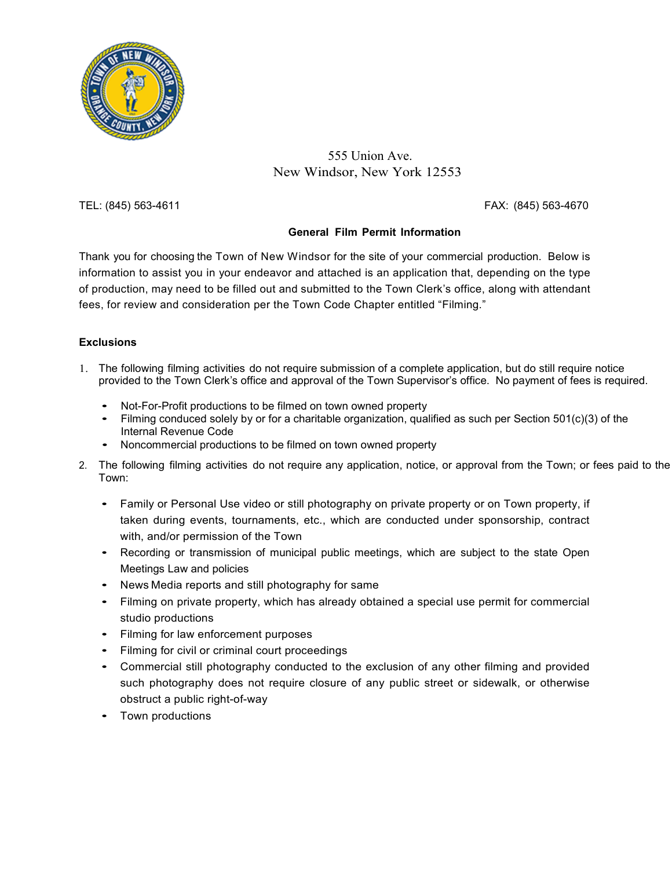

#### 555 Union Ave. New Windsor, New York 12553

TEL: (845) 563-4611 FAX: (845) 563-4670

#### **General Film Permit Information**

Thank you for choosing the Town of New Windsor for the site of your commercial production. Below is information to assist you in your endeavor and attached is an application that, depending on the type of production, may need to be filled out and submitted to the Town Clerk's office, along with attendant fees, for review and consideration per the Town Code Chapter entitled "Filming."

#### **Exclusions**

- 1. The following filming activities do not require submission of a complete application, but do still require notice provided to the Town Clerk's office and approval of the Town Supervisor's office. No payment of fees is required.
	- Not-For-Profit productions to be filmed on town owned property
	- Filming conduced solely by or for a charitable organization, qualified as such per Section 501(c)(3) of the Internal Revenue Code
	- Noncommercial productions to be filmed on town owned property
- 2. The following filming activities do not require any application, notice, or approval from the Town; or fees paid to the Town:
	- Family or Personal Use video or still photography on private property or on Town property, if taken during events, tournaments, etc., which are conducted under sponsorship, contract with, and/or permission of the Town
	- Recording or transmission of municipal public meetings, which are subject to the state Open Meetings Law and policies
	- News Media reports and still photography for same
	- Filming on private property, which has already obtained a special use permit for commercial studio productions
	- Filming for law enforcement purposes
	- Filming for civil or criminal court proceedings
	- Commercial still photography conducted to the exclusion of any other filming and provided such photography does not require closure of any public street or sidewalk, or otherwise obstruct a public right-of-way
	- Town productions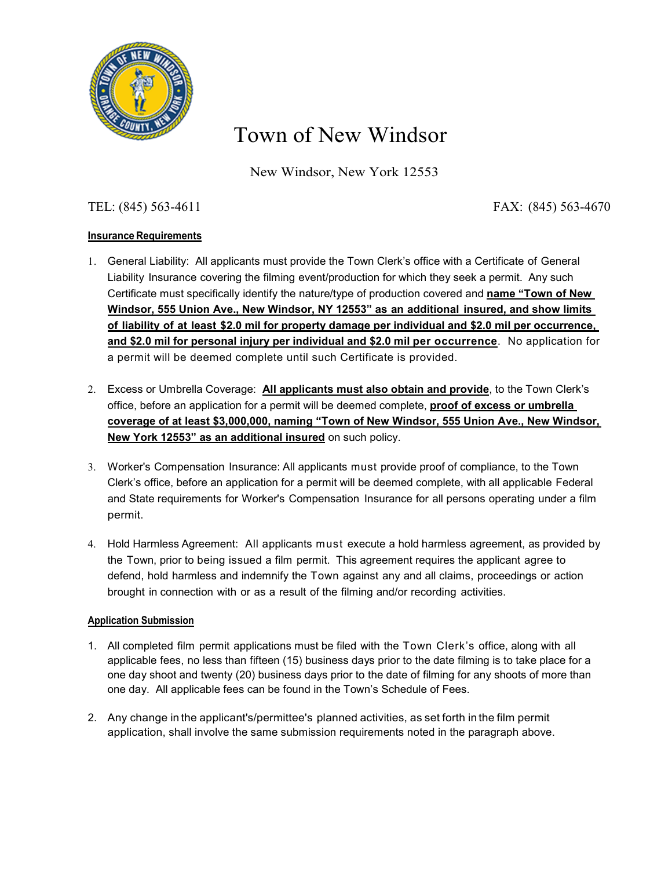

## Town of New Windsor

New Windsor, New York 12553

#### TEL: (845) 563-4611 FAX: (845) 563-4670

#### **Insurance Requirements**

- 1. General Liability: All applicants must provide the Town Clerk's office with a Certificate of General Liability Insurance covering the filming event/production for which they seek a permit. Any such Certificate must specifically identify the nature/type of production covered and **name "Town of New Windsor, 555 Union Ave., New Windsor, NY 12553" as an additional insured, and show limits of liability of at least \$2.0 mil for property damage per individual and \$2.0 mil per occurrence, and \$2.0 mil for personal injury per individual and \$2.0 mil per occurrence**. No application for a permit will be deemed complete until such Certificate is provided.
- 2. Excess or Umbrella Coverage: **All applicants must also obtain and provide**, to the Town Clerk's office, before an application for a permit will be deemed complete, **proof of excess or umbrella coverage of at least \$3,000,000, naming "Town of New Windsor, 555 Union Ave., New Windsor, New York 12553" as an additional insured** on such policy.
- 3. Worker's Compensation Insurance: All applicants must provide proof of compliance, to the Town Clerk's office, before an application for a permit will be deemed complete, with all applicable Federal and State requirements for Worker's Compensation Insurance for all persons operating under a film permit.
- 4. Hold Harmless Agreement: All applicants must execute a hold harmless agreement, as provided by the Town, prior to being issued a film permit. This agreement requires the applicant agree to defend, hold harmless and indemnify the Town against any and all claims, proceedings or action brought in connection with or as a result of the filming and/or recording activities.

#### **Application Submission**

- 1. All completed film permit applications must be filed with the Town Clerk's office, along with all applicable fees, no less than fifteen (15) business days prior to the date filming is to take place for a one day shoot and twenty (20) business days prior to the date of filming for any shoots of more than one day. All applicable fees can be found in the Town's Schedule of Fees.
- 2. Any change in the applicant's/permittee's planned activities, as set forth in the film permit application, shall involve the same submission requirements noted in the paragraph above.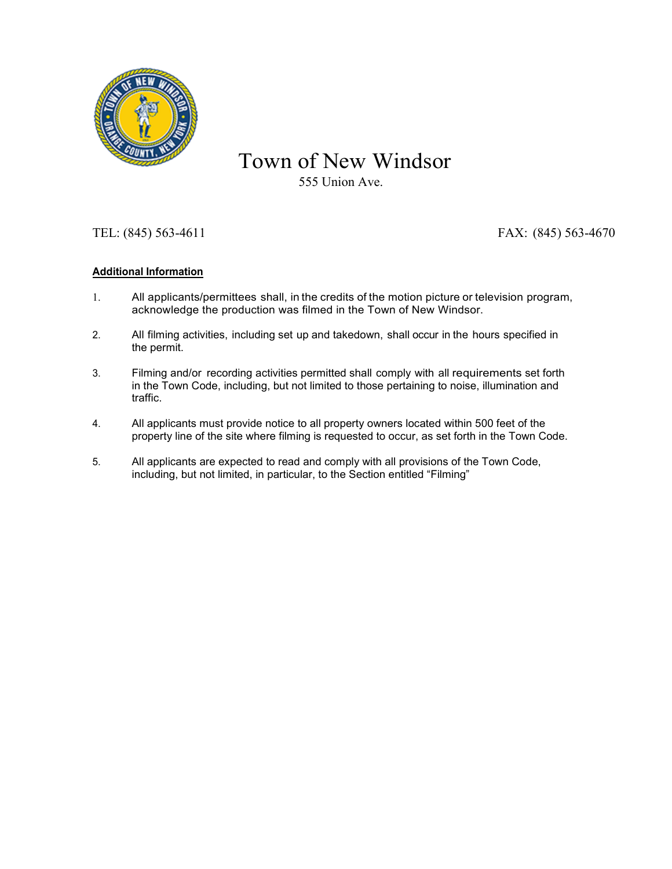

# Town of New Windsor

555 Union Ave.

### TEL: (845) 563-4611 FAX: (845) 563-4670

#### **Additional Information**

- 1. All applicants/permittees shall, in the credits of the motion picture or television program, acknowledge the production was filmed in the Town of New Windsor.
- 2. All filming activities, including set up and takedown, shall occur in the hours specified in the permit.
- 3. Filming and/or recording activities permitted shall comply with all requirements set forth in the Town Code, including, but not limited to those pertaining to noise, illumination and traffic.
- 4. All applicants must provide notice to all property owners located within 500 feet of the property line of the site where filming is requested to occur, as set forth in the Town Code.
- 5. All applicants are expected to read and comply with all provisions of the Town Code, including, but not limited, in particular, to the Section entitled "Filming"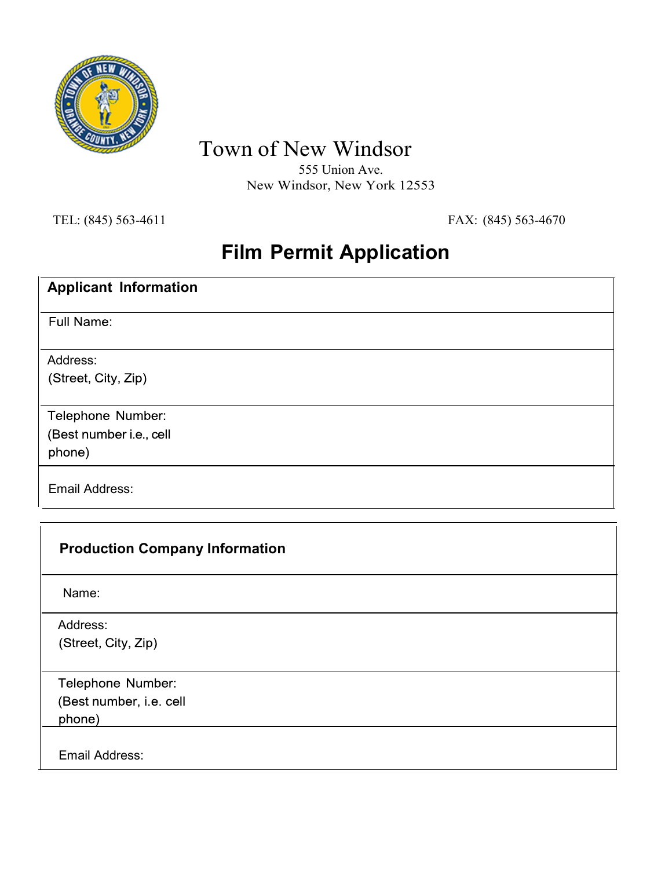

Town of New Windsor

555 Union Ave. New Windsor, New York 12553

TEL: (845) 563-4611 FAX: (845) 563-4670

## **Film Permit Application**

| <b>Applicant Information</b>                           |
|--------------------------------------------------------|
| Full Name:                                             |
| Address:<br>(Street, City, Zip)                        |
| Telephone Number:<br>(Best number i.e., cell<br>phone) |
| Email Address:                                         |

| <b>Production Company Information</b> |  |
|---------------------------------------|--|
| Name:                                 |  |
| Address:                              |  |
| (Street, City, Zip)                   |  |
| Telephone Number:                     |  |
| (Best number, i.e. cell               |  |
| phone)                                |  |
| Email Address:                        |  |
|                                       |  |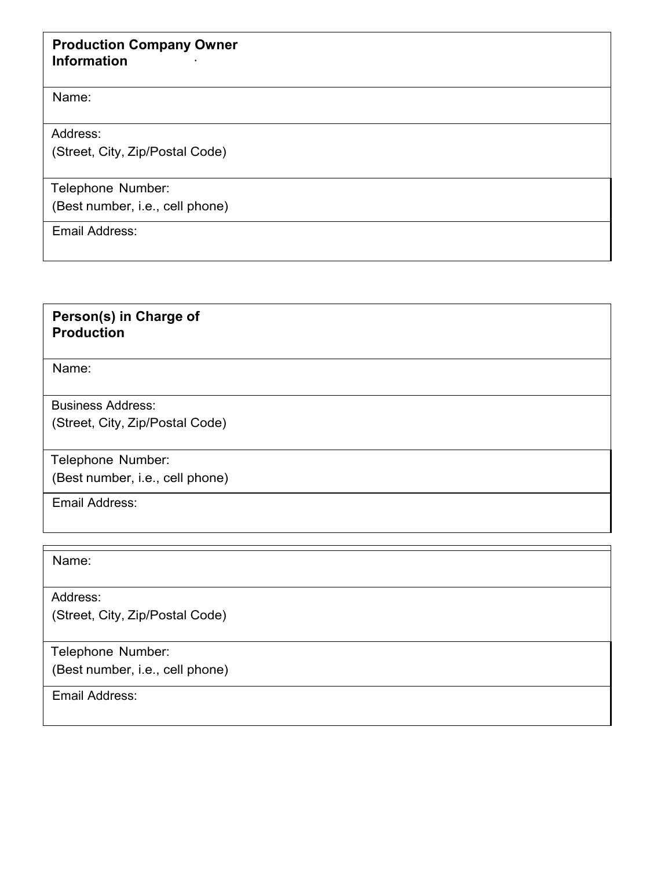## **Production Company Owner Information** ·

Name:

Address:

(Street, City, Zip/Postal Code)

Telephone Number:

(Best number, i.e., cell phone)

Email Address:

## **Person(s) in Charge of Production**

Name:

Business Address:

(Street, City, Zip/Postal Code)

Telephone Number: (Best number, i.e., cell phone)

Email Address:

Name:

Address: (Street, City, Zip/Postal Code)

Telephone Number: (Best number, i.e., cell phone)

Email Address: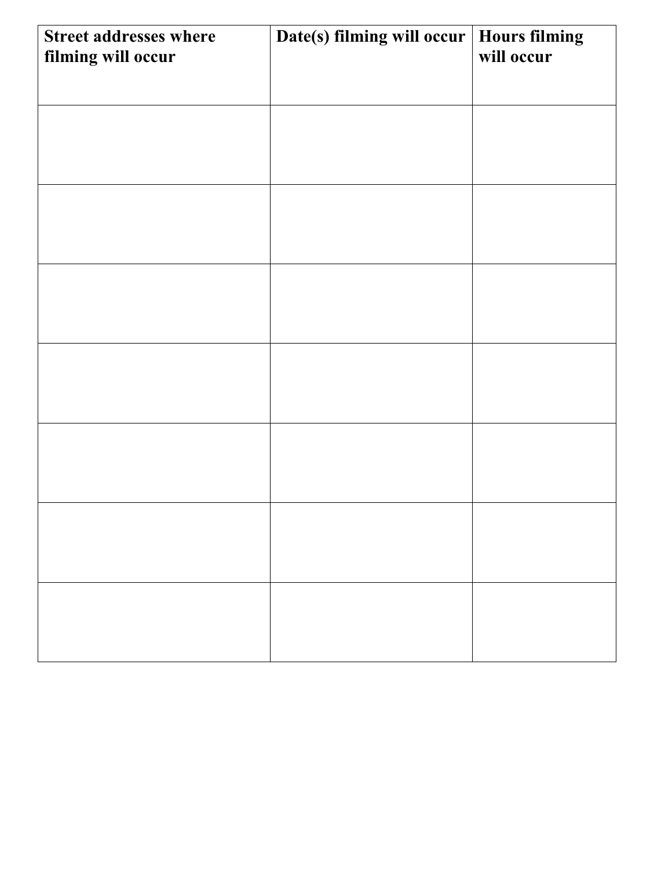| <b>Street addresses where</b><br>filming will occur | Date(s) filming will occur | <b>Hours filming</b><br>will occur |
|-----------------------------------------------------|----------------------------|------------------------------------|
|                                                     |                            |                                    |
|                                                     |                            |                                    |
|                                                     |                            |                                    |
|                                                     |                            |                                    |
|                                                     |                            |                                    |
|                                                     |                            |                                    |
|                                                     |                            |                                    |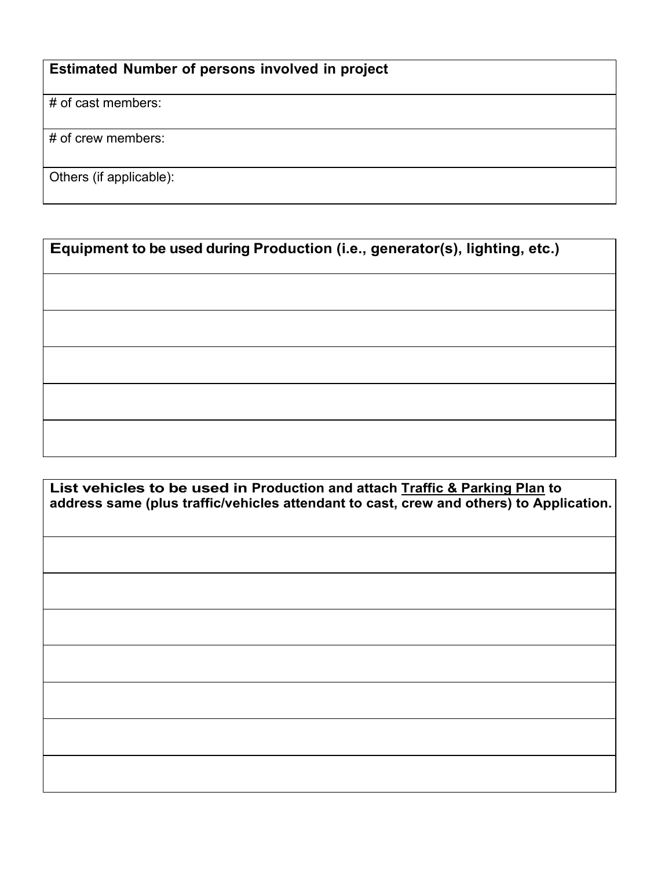## **Estimated Number of persons involved in project**

# of cast members:

# of crew members:

Others (if applicable):

**Equipment to be used during Production (i.e., generator(s), lighting, etc.)**

**List vehicles to be used in Production and attach Traffic & Parking Plan to address same (plus traffic/vehicles attendant to cast, crew and others) to Application.**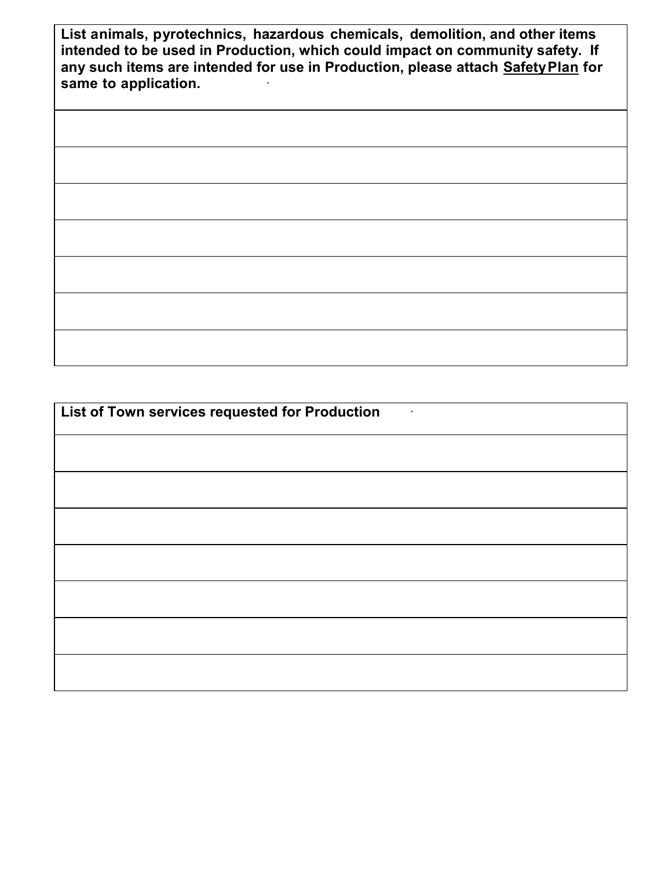**List animals, pyrotechnics, hazardous chemicals, demolition, and other items intended to be used in Production, which could impact on community safety. If any such items are intended for use in Production, please attach SafetyPlan for same to application.** ·

**List of Town services requested for Production** ·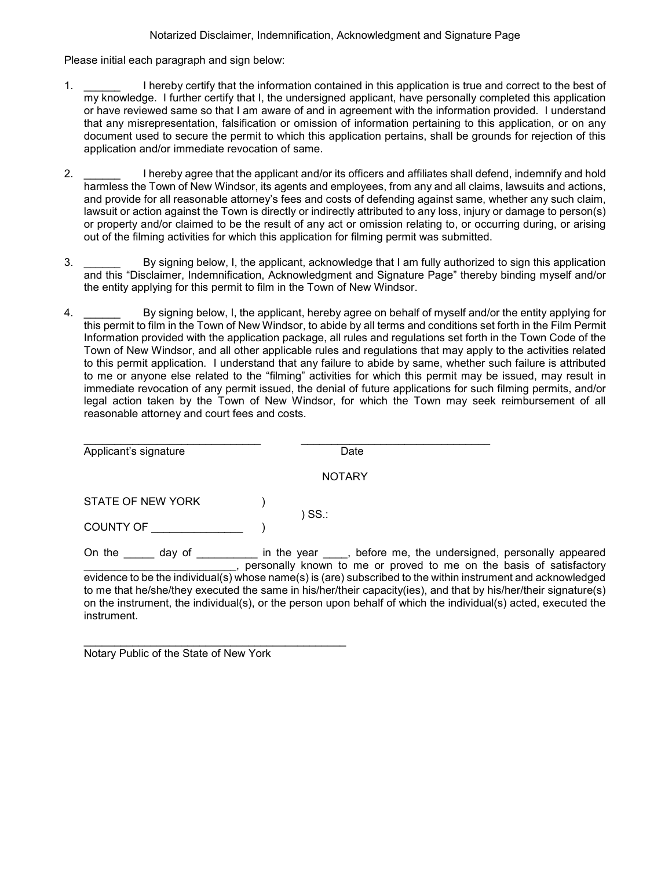Please initial each paragraph and sign below:

- 1. \_\_\_\_\_\_ I hereby certify that the information contained in this application is true and correct to the best of my knowledge. I further certify that I, the undersigned applicant, have personally completed this application or have reviewed same so that I am aware of and in agreement with the information provided. I understand that any misrepresentation, falsification or omission of information pertaining to this application, or on any document used to secure the permit to which this application pertains, shall be grounds for rejection of this application and/or immediate revocation of same.
- 2. \_\_\_\_\_\_ I hereby agree that the applicant and/or its officers and affiliates shall defend, indemnify and hold harmless the Town of New Windsor, its agents and employees, from any and all claims, lawsuits and actions, and provide for all reasonable attorney's fees and costs of defending against same, whether any such claim, lawsuit or action against the Town is directly or indirectly attributed to any loss, injury or damage to person(s) or property and/or claimed to be the result of any act or omission relating to, or occurring during, or arising out of the filming activities for which this application for filming permit was submitted.
- 3. \_\_\_\_\_\_ By signing below, I, the applicant, acknowledge that I am fully authorized to sign this application and this "Disclaimer, Indemnification, Acknowledgment and Signature Page" thereby binding myself and/or the entity applying for this permit to film in the Town of New Windsor.
- 4. \_\_\_\_\_\_ By signing below, I, the applicant, hereby agree on behalf of myself and/or the entity applying for this permit to film in the Town of New Windsor, to abide by all terms and conditions set forth in the Film Permit Information provided with the application package, all rules and regulations set forth in the Town Code of the Town of New Windsor, and all other applicable rules and regulations that may apply to the activities related to this permit application. I understand that any failure to abide by same, whether such failure is attributed to me or anyone else related to the "filming" activities for which this permit may be issued, may result in immediate revocation of any permit issued, the denial of future applications for such filming permits, and/or legal action taken by the Town of New Windsor, for which the Town may seek reimbursement of all reasonable attorney and court fees and costs.

| Applicant's signature | Date                                                                                                                                                                                                                                                                       |  |  |  |  |  |  |
|-----------------------|----------------------------------------------------------------------------------------------------------------------------------------------------------------------------------------------------------------------------------------------------------------------------|--|--|--|--|--|--|
| <b>NOTARY</b>         |                                                                                                                                                                                                                                                                            |  |  |  |  |  |  |
| STATE OF NEW YORK     |                                                                                                                                                                                                                                                                            |  |  |  |  |  |  |
| <b>COUNTY OF</b>      | ) SS.:                                                                                                                                                                                                                                                                     |  |  |  |  |  |  |
| On the<br>day of      | in the year _____, before me, the undersigned, personally appeared<br>personally known to me or proved to me on the basis of satisfactory<br>a channaire da bailteach chuidhealach anns anns an channaireach an bailteach an thinis in thuim man tamad an chuann bailteach |  |  |  |  |  |  |

\_\_\_\_\_\_\_\_\_\_\_\_\_\_\_\_\_\_\_\_\_\_\_\_\_\_\_\_\_\_\_\_\_\_\_\_\_\_\_\_\_\_\_ Notary Public of the State of New York

basis of satisfactory evidence to be the individual(s) whose name(s) is (are) subscribed to the within instrument and acknowledged to me that he/she/they executed the same in his/her/their capacity(ies), and that by his/her/their signature(s) on the instrument, the individual(s), or the person upon behalf of which the individual(s) acted, executed the instrument.